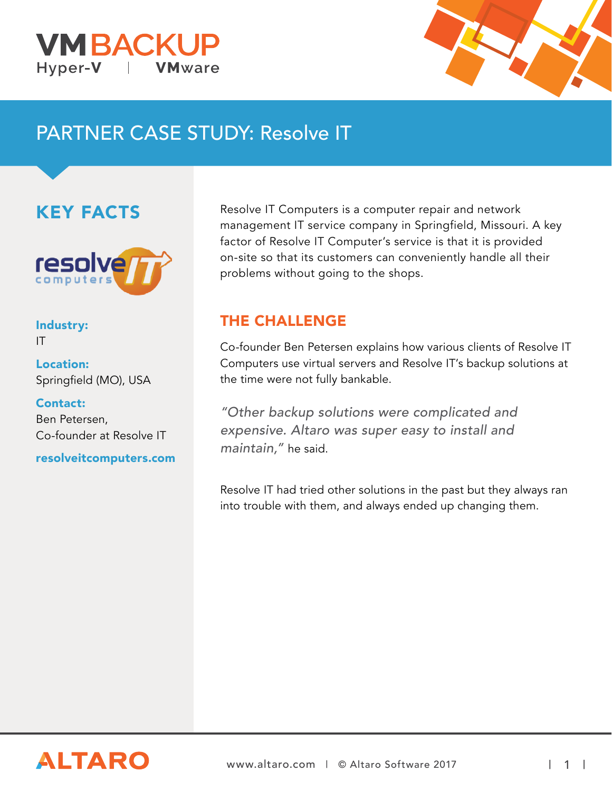



# PARTNER CASE STUDY: Resolve IT

### KEY FACTS



#### Industry: IT

Location: Springfield (MO), USA

Contact: Ben Petersen, Co-founder at Resolve IT

resolveitcomputers.com

Resolve IT Computers is a computer repair and network management IT service company in Springfield, Missouri. A key factor of Resolve IT Computer's service is that it is provided on-site so that its customers can conveniently handle all their problems without going to the shops.

### THE CHALLENGE

Co-founder Ben Petersen explains how various clients of Resolve IT Computers use virtual servers and Resolve IT's backup solutions at the time were not fully bankable.

"Other backup solutions were complicated and expensive. Altaro was super easy to install and maintain," he said.

Resolve IT had tried other solutions in the past but they always ran into trouble with them, and always ended up changing them.